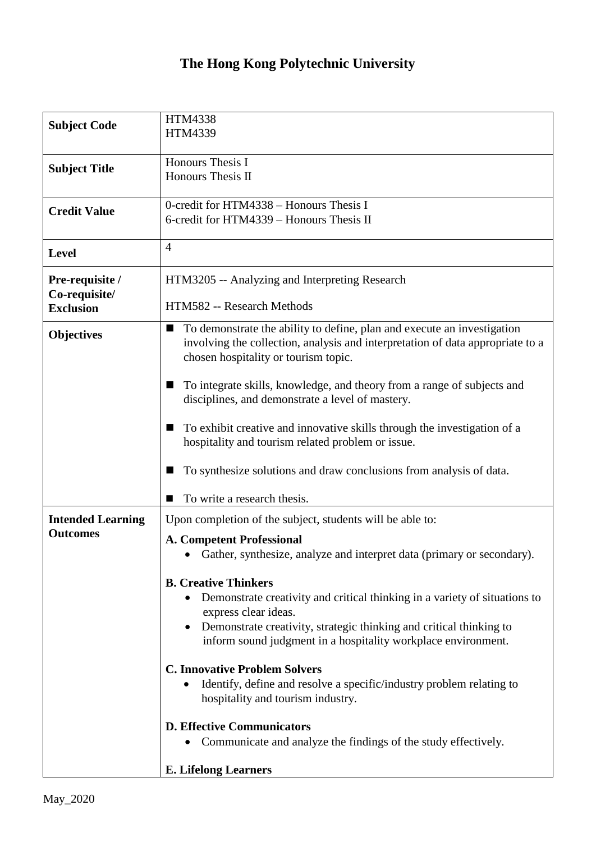## **The Hong Kong Polytechnic University**

| <b>Subject Code</b>                                  | <b>HTM4338</b><br>HTM4339                                                                                                                                                                                                                                                                                                                                                                                                                                                                                                                                                                                                                                                                                                                            |
|------------------------------------------------------|------------------------------------------------------------------------------------------------------------------------------------------------------------------------------------------------------------------------------------------------------------------------------------------------------------------------------------------------------------------------------------------------------------------------------------------------------------------------------------------------------------------------------------------------------------------------------------------------------------------------------------------------------------------------------------------------------------------------------------------------------|
| <b>Subject Title</b>                                 | Honours Thesis I<br>Honours Thesis II                                                                                                                                                                                                                                                                                                                                                                                                                                                                                                                                                                                                                                                                                                                |
| <b>Credit Value</b>                                  | 0-credit for HTM4338 - Honours Thesis I<br>6-credit for HTM4339 - Honours Thesis II                                                                                                                                                                                                                                                                                                                                                                                                                                                                                                                                                                                                                                                                  |
| <b>Level</b>                                         | $\overline{4}$                                                                                                                                                                                                                                                                                                                                                                                                                                                                                                                                                                                                                                                                                                                                       |
| Pre-requisite /<br>Co-requisite/<br><b>Exclusion</b> | HTM3205 -- Analyzing and Interpreting Research<br>HTM582 -- Research Methods                                                                                                                                                                                                                                                                                                                                                                                                                                                                                                                                                                                                                                                                         |
| <b>Objectives</b>                                    | To demonstrate the ability to define, plan and execute an investigation<br>■<br>involving the collection, analysis and interpretation of data appropriate to a<br>chosen hospitality or tourism topic.                                                                                                                                                                                                                                                                                                                                                                                                                                                                                                                                               |
|                                                      | To integrate skills, knowledge, and theory from a range of subjects and<br>ш<br>disciplines, and demonstrate a level of mastery.                                                                                                                                                                                                                                                                                                                                                                                                                                                                                                                                                                                                                     |
|                                                      | To exhibit creative and innovative skills through the investigation of a<br>п<br>hospitality and tourism related problem or issue.                                                                                                                                                                                                                                                                                                                                                                                                                                                                                                                                                                                                                   |
|                                                      | To synthesize solutions and draw conclusions from analysis of data.                                                                                                                                                                                                                                                                                                                                                                                                                                                                                                                                                                                                                                                                                  |
| <b>Intended Learning</b><br><b>Outcomes</b>          | To write a research thesis.<br>■<br>Upon completion of the subject, students will be able to:<br><b>A. Competent Professional</b><br>Gather, synthesize, analyze and interpret data (primary or secondary).<br><b>B. Creative Thinkers</b><br>Demonstrate creativity and critical thinking in a variety of situations to<br>express clear ideas.<br>Demonstrate creativity, strategic thinking and critical thinking to<br>inform sound judgment in a hospitality workplace environment.<br><b>C. Innovative Problem Solvers</b><br>Identify, define and resolve a specific/industry problem relating to<br>hospitality and tourism industry.<br><b>D. Effective Communicators</b><br>Communicate and analyze the findings of the study effectively. |
|                                                      | <b>E. Lifelong Learners</b>                                                                                                                                                                                                                                                                                                                                                                                                                                                                                                                                                                                                                                                                                                                          |